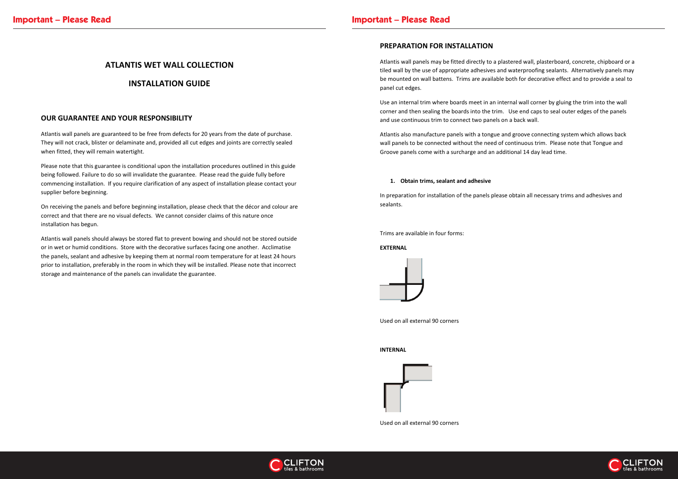# **ATLANTIS WET WALL COLLECTION**

# **INSTALLATION GUIDE**

## **OUR GUARANTEE AND YOUR RESPONSIBILITY**

Atlantis wall panels are guaranteed to be free from defects for 20 years from the date of purchase. They will not crack, blister or delaminate and, provided all cut edges and joints are correctly sealed when fitted, they will remain watertight.

Please note that this guarantee is conditional upon the installation procedures outlined in this guide being followed. Failure to do so will invalidate the guarantee. Please read the guide fully before commencing installation. If you require clarification of any aspect of installation please contact your supplier before beginning.

On receiving the panels and before beginning installation, please check that the décor and colour are correct and that there are no visual defects. We cannot consider claims of this nature once installation has begun.

Atlantis wall panels should always be stored flat to prevent bowing and should not be stored outside or in wet or humid conditions. Store with the decorative surfaces facing one another. Acclimatise the panels, sealant and adhesive by keeping them at normal room temperature for at least 24 hours prior to installation, preferably in the room in which they will be installed. Please note that incorrect storage and maintenance of the panels can invalidate the guarantee.

## **PREPARATION FOR INSTALLATION**

Atlantis wall panels may be fitted directly to a plastered wall, plasterboard, concrete, chipboard or a tiled wall by the use of appropriate adhesives and waterproofing sealants. Alternatively panels may be mounted on wall battens. Trims are available both for decorative effect and to provide a seal to panel cut edges.

Use an internal trim where boards meet in an internal wall corner by gluing the trim into the wall corner and then sealing the boards into the trim. Use end caps to seal outer edges of the panels and use continuous trim to connect two panels on a back wall.

Atlantis also manufacture panels with a tongue and groove connecting system which allows back wall panels to be connected without the need of continuous trim. Please note that Tongue and Groove panels come with a surcharge and an additional 14 day lead time.

#### **1. Obtain trims, sealant and adhesive**

In preparation for installation of the panels please obtain all necessary trims and adhesives and sealants.

Trims are available in four forms:

### **EXTERNAL**



Used on all external 90 corners

**INTERNAL** 



Used on all external 90 corners



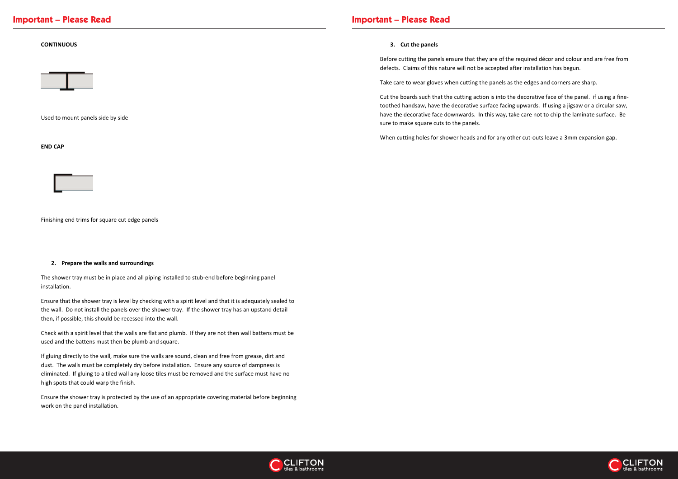# **Important – Please Read Important – Please Read**

#### **CONTINUOUS**



Used to mount panels side by side

### **END CAP**



Finishing end trims for square cut edge panels

#### **2. Prepare the walls and surroundings**

The shower tray must be in place and all piping installed to stub-end before beginning panel installation.

Ensure that the shower tray is level by checking with a spirit level and that it is adequately sealed to the wall. Do not install the panels over the shower tray. If the shower tray has an upstand detail then, if possible, this should be recessed into the wall.

Check with a spirit level that the walls are flat and plumb. If they are not then wall battens must be used and the battens must then be plumb and square.

If gluing directly to the wall, make sure the walls are sound, clean and free from grease, dirt and dust. The walls must be completely dry before installation. Ensure any source of dampness is eliminated. If gluing to a tiled wall any loose tiles must be removed and the surface must have no high spots that could warp the finish.

Ensure the shower tray is protected by the use of an appropriate covering material before beginning work on the panel installation.

#### **3. Cut the panels**

Before cutting the panels ensure that they are of the required décor and colour and are free from defects. Claims of this nature will not be accepted after installation has begun.

Take care to wear gloves when cutting the panels as the edges and corners are sharp.

Cut the boards such that the cutting action is into the decorative face of the panel. if using a finetoothed handsaw, have the decorative surface facing upwards. If using a jigsaw or a circular saw, have the decorative face downwards. In this way, take care not to chip the laminate surface. Be sure to make square cuts to the panels.

When cutting holes for shower heads and for any other cut-outs leave a 3mm expansion gap.



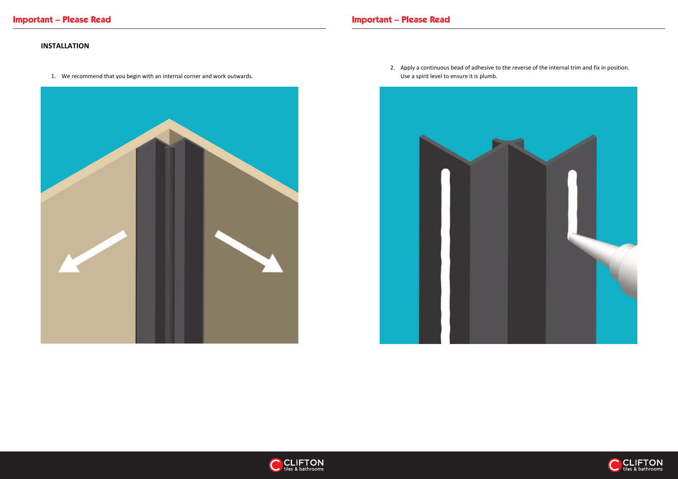# **INSTALLATION**

1. We recommend that you begin with an internal corner and work outwards.







Use a spirit level to ensure it is plumb.



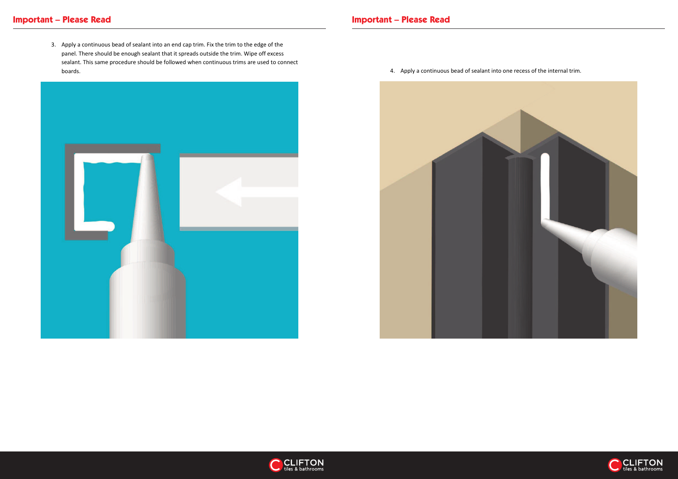3. Apply a continuous bead of sealant into an end cap trim. Fix the trim to the edge of the panel. There should be enough sealant that it spreads outside the trim. Wipe off excess sealant. This same procedure should be followed when continuous trims are used to connect boards. 4. Apply a continuous bead of sealant into one recess of the internal trim.







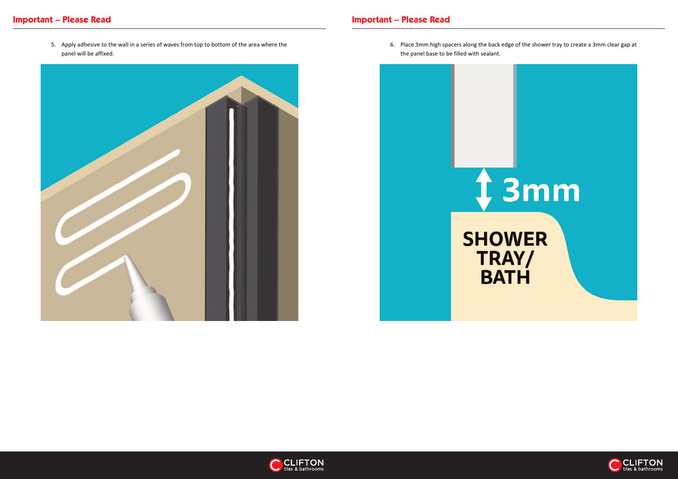# **Important – Please Read Important – Please Read**

5. Apply adhesive to the wall in a series of waves from top to bottom of the area where the panel will be affixed.



6. Place 3mm high spacers along the back edge of the shower tray to create a 3mm clear gap at



the panel base to be filled with sealant.



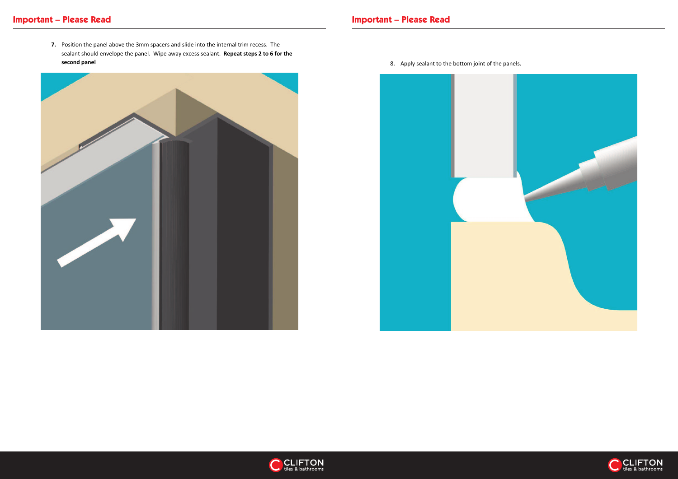**7.** Position the panel above the 3mm spacers and slide into the internal trim recess. The sealant should envelope the panel. Wipe away excess sealant. **Repeat steps 2 to 6 for the second panel 8.** Apply sealant to the bottom joint of the panels.